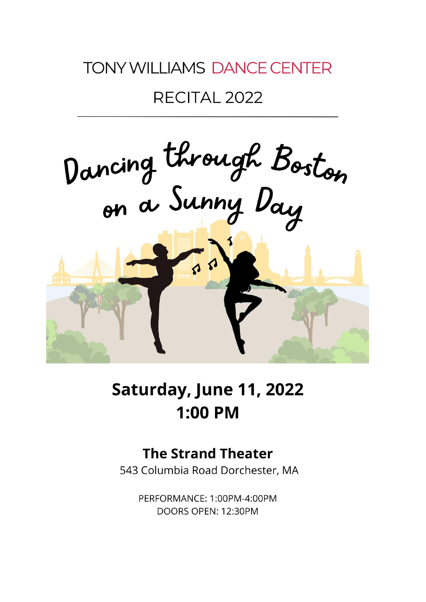# **TONY WILLIAMS DANCE CENTER**

## RECITAL 2022



# Saturday, June 11, 2022 **1:00 PM**

## **The Strand Theater**

543 Columbia Road Dorchester, MA

PERFORMANCE: 1:00PM-4:00PM DOORS OPEN: 12:30PM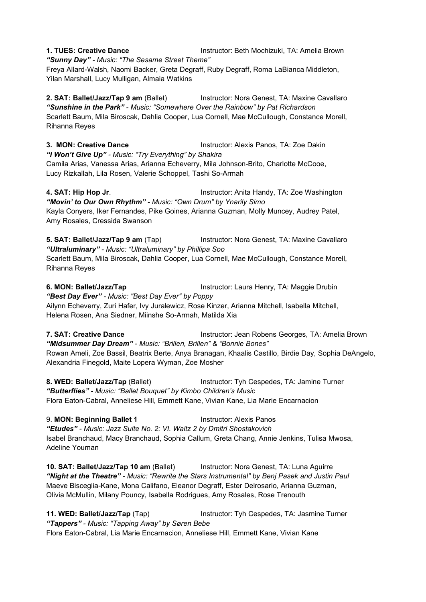**1. TUES: Creative Dance Instructor: Beth Mochizuki, TA: Amelia Brown** *"Sunny Day" - Music: "The Sesame Street Theme"* Freya Allard-Walsh, Naomi Backer, Greta Degraff, Ruby Degraff, Roma LaBianca Middleton, Yilan Marshall, Lucy Mulligan, Almaia Watkins

**2. SAT: Ballet/Jazz/Tap 9 am** (Ballet) Instructor: Nora Genest, TA: Maxine Cavallaro *"Sunshine in the Park" - Music: "Somewhere Over the Rainbow" by Pat Richardson* Scarlett Baum, Mila Biroscak, Dahlia Cooper, Lua Cornell, Mae McCullough, Constance Morell, Rihanna Reyes

**3. MON: Creative Dance** Instructor: Alexis Panos, TA: Zoe Dakin *"I Won't Give Up" - Music: "Try Everything" by Shakira* Camila Arias, Vanessa Arias, Arianna Echeverry, Mila Johnson-Brito, Charlotte McCooe, Lucy Rizkallah, Lila Rosen, Valerie Schoppel, Tashi So-Armah

**4. SAT: Hip Hop Jr**. Instructor: Anita Handy, TA:Zoe Washington *"Movin' to Our Own Rhythm" - Music: "Own Drum" by Ynarily Simo* Kayla Conyers, Iker Fernandes, Pike Goines, Arianna Guzman, Molly Muncey, Audrey Patel, Amy Rosales, Cressida Swanson

**5. SAT: Ballet/Jazz/Tap 9 am** (Tap) Instructor: Nora Genest, TA: Maxine Cavallaro *"Ultraluminary" - Music: "Ultraluminary" by Phillipa Soo* Scarlett Baum, Mila Biroscak, Dahlia Cooper, Lua Cornell, Mae McCullough, Constance Morell, Rihanna Reyes

**6. MON: Ballet/Jazz/Tap <b>Instructor:** Laura Henry, TA: Maggie Drubin *"Best Day Ever" - Music: "Best Day Ever" by Poppy* Ailynn Echeverry, Zuri Hafer, Ivy Juralewicz, Rose Kinzer, Arianna Mitchell, Isabella Mitchell, Helena Rosen, Ana Siedner, Miinshe So-Armah, Matilda Xia

**7. SAT: Creative Dance** Instructor: Jean Robens Georges, TA: Amelia Brown *"Midsummer Day Dream" - Music: "Brillen, Brillen" & "Bonnie Bones"* Rowan Ameli, Zoe Bassil, Beatrix Berte, Anya Branagan, Khaalis Castillo, Birdie Day, Sophia DeAngelo, Alexandria Finegold, Maite Lopera Wyman, Zoe Mosher

**8. WED: Ballet/Jazz/Tap** (Ballet) Instructor: Tyh Cespedes, TA: Jamine Turner *"Butterflies" - Music: "Ballet Bouquet" by Kimbo Children's Music* Flora Eaton-Cabral, Anneliese Hill, Emmett Kane, Vivian Kane, Lia Marie Encarnacion

9. **MON: Beginning Ballet 1** Instructor: Alexis Panos *"Etudes" - Music: Jazz Suite No. 2: VI. Waltz 2 by Dmitri Shostakovich* Isabel Branchaud, Macy Branchaud, Sophia Callum, Greta Chang, Annie Jenkins, Tulisa Mwosa, Adeline Youman

**10. SAT: Ballet/Jazz/Tap 10 am** (Ballet) Instructor:Nora Genest, TA: Luna Aguirre *"Night at the Theatre" - Music: "Rewrite the Stars Instrumental" by Benj Pasek and Justin Paul* Maeve Bisceglia-Kane, Mona Califano, Eleanor Degraff, Ester Delrosario, Arianna Guzman, Olivia McMullin, Milany Pouncy, Isabella Rodrigues, Amy Rosales, Rose Trenouth

**11. WED: Ballet/Jazz/Tap** (Tap) **Instructor: Tyh Cespedes, TA: Jasmine Turner** *"Tappers" - Music: "Tapping Away" by Søren Bebe* Flora Eaton-Cabral, Lia Marie Encarnacion, Anneliese Hill, Emmett Kane, Vivian Kane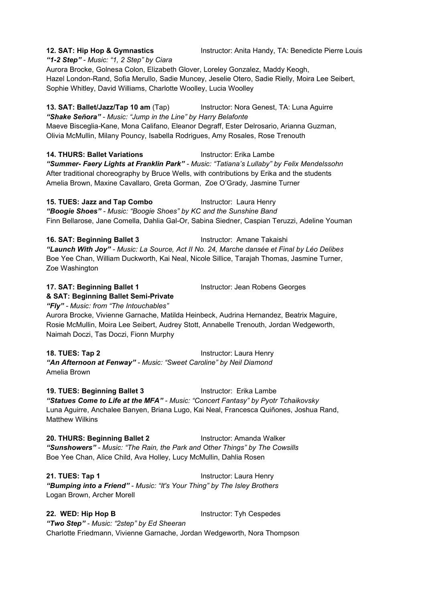**12. SAT: Hip Hop & Gymnastics** Instructor: Anita Handy, TA:Benedicte Pierre Louis

*"1-2 Step" - Music: "1, 2 Step" by Ciara*

Aurora Brocke, Golnesa Colon, Elizabeth Glover, Loreley Gonzalez, Maddy Keogh, Hazel London-Rand, Sofia Merullo, Sadie Muncey, Jeselie Otero, Sadie Rielly, Moira Lee Seibert, Sophie Whitley, David Williams, Charlotte Woolley, Lucia Woolley

**13. SAT: Ballet/Jazz/Tap 10 am** (Tap) Instructor:Nora Genest, TA: Luna Aguirre *"Shake Señora" - Music: "Jump in the Line"by Harry Belafonte* Maeve Bisceglia-Kane, Mona Califano, Eleanor Degraff, Ester Delrosario, Arianna Guzman, Olivia McMullin, Milany Pouncy, Isabella Rodrigues, Amy Rosales, Rose Trenouth

**14. THURS: Ballet Variations** Instructor: Erika Lambe *"Summer- Faery Lights at Franklin Park" - Music: "Tatiana's Lullaby" by Felix Mendelssohn* After traditional choreography by Bruce Wells, with contributions by Erika and the students Amelia Brown, Maxine Cavallaro, Greta Gorman, Zoe O'Grady, Jasmine Turner

**15. TUES: Jazz and Tap Combo** Instructor: Laura Henry *"Boogie Shoes" - Music: "Boogie Shoes" by KC and the Sunshine Band* Finn Bellarose, Jane Comella, Dahlia Gal-Or, Sabina Siedner, Caspian Teruzzi, Adeline Youman

**16. SAT: Beginning Ballet 3** Instructor: Amane Takaishi *"Launch With Joy" - Music:La Source, Act II No. 24, Marche dansee et Final by Leo [Delibes](https://en.wikipedia.org/wiki/L%C3%A9o_Delibes)* Boe Yee Chan, William Duckworth, Kai Neal, Nicole Sillice, Tarajah Thomas, Jasmine Turner, Zoe Washington

**17. SAT: Beginning Ballet 1** Instructor: Jean Robens Georges **& SAT: Beginning Ballet Semi-Private**

*"Fly" - Music: from "The Intouchables"*

Aurora Brocke, Vivienne Garnache, Matilda Heinbeck, Audrina Hernandez, Beatrix Maguire,<br>Rosie McMullin, Moira Lee Seibert, Audrey Stott, Annabelle Trenouth, Jordan Wedgeworth, Naimah Doczi, Tas Doczi, Fionn Murphy

**18. TUES: Tap 2** Instructor: Laura Henry *"An Afternoon at Fenway" - Music: "Sweet Caroline" by Neil Diamond* Amelia Brown

**19. TUES: Beginning Ballet 3** Instructor: Erika Lambe *"Statues Come to Life at the MFA" - Music: "Concert Fantasy" by Pyotr Tchaikovsky* Luna Aguirre, Anchalee Banyen, Briana Lugo, Kai Neal, Francesca Quiñones, Joshua Rand, Matthew Wilkins

**20. THURS: Beginning Ballet 2** Instructor: Amanda Walker *"Sunshowers" - Music: "The Rain, the Park and Other Things" by The Cowsills* Boe Yee Chan, Alice Child, Ava Holley, Lucy McMullin, Dahlia Rosen

**21. TUES: Tap 1** Instructor: Laura Henry *"Bumping into a Friend" -Music: "It's Your Thing" by The Isley Brothers* Logan Brown, Archer Morell

**22. WED: Hip Hop B** Instructor: Tyh Cespedes *"Two Step" - Music: "2step" by Ed Sheeran* Charlotte Friedmann, Vivienne Garnache, Jordan Wedgeworth, Nora Thompson